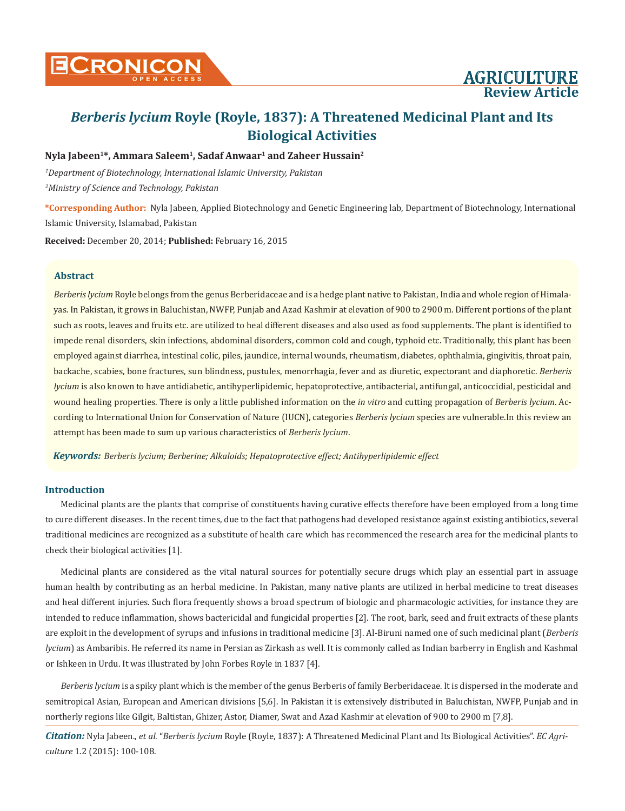## **Nyla Jabeen1\*, Ammara Saleem1, Sadaf Anwaar1 and Zaheer Hussain2**

*1 Department of Biotechnology, International Islamic University, Pakistan 2 Ministry of Science and Technology, Pakistan*

**\*Corresponding Author:** Nyla Jabeen, Applied Biotechnology and Genetic Engineering lab, Department of Biotechnology, International Islamic University, Islamabad, Pakistan

**Received:** December 20, 2014; **Published:** February 16, 2015

## **Abstract**

*Berberis lycium* Royle belongs from the genus Berberidaceae and is a hedge plant native to Pakistan, India and whole region of Himalayas. In Pakistan, it grows in Baluchistan, NWFP, Punjab and Azad Kashmir at elevation of 900 to 2900 m. Different portions of the plant such as roots, leaves and fruits etc. are utilized to heal different diseases and also used as food supplements. The plant is identified to impede renal disorders, skin infections, abdominal disorders, common cold and cough, typhoid etc. Traditionally, this plant has been employed against diarrhea, intestinal colic, piles, jaundice, internal wounds, rheumatism, diabetes, ophthalmia, gingivitis, throat pain, backache, scabies, bone fractures, sun blindness, pustules, menorrhagia, fever and as diuretic, expectorant and diaphoretic. *Berberis lycium* is also known to have antidiabetic, antihyperlipidemic, hepatoprotective, antibacterial, antifungal, anticoccidial, pesticidal and wound healing properties. There is only a little published information on the *in vitro* and cutting propagation of *Berberis lycium*. According to International Union for Conservation of Nature (IUCN), categories *Berberis lycium* species are vulnerable.In this review an attempt has been made to sum up various characteristics of *Berberis lycium*.

*Keywords: Berberis lycium; Berberine; Alkaloids; Hepatoprotective effect; Antihyperlipidemic effect*

## **Introduction**

Medicinal plants are the plants that comprise of constituents having curative effects therefore have been employed from a long time to cure different diseases. In the recent times, due to the fact that pathogens had developed resistance against existing antibiotics, several traditional medicines are recognized as a substitute of health care which has recommenced the research area for the medicinal plants to check their biological activities [1].

Medicinal plants are considered as the vital natural sources for potentially secure drugs which play an essential part in assuage human health by contributing as an herbal medicine. In Pakistan, many native plants are utilized in herbal medicine to treat diseases and heal different injuries. Such flora frequently shows a broad spectrum of biologic and pharmacologic activities, for instance they are intended to reduce inflammation, shows bactericidal and fungicidal properties [2]. The root, bark, seed and fruit extracts of these plants are exploit in the development of syrups and infusions in traditional medicine [3]. Al-Biruni named one of such medicinal plant (*Berberis lycium*) as Ambaribis. He referred its name in Persian as Zirkash as well. It is commonly called as Indian barberry in English and Kashmal or Ishkeen in Urdu. It was illustrated by John Forbes Royle in 1837 [4].

*Berberis lycium* is a spiky plant which is the member of the genus Berberis of family Berberidaceae. It is dispersed in the moderate and semitropical Asian, European and American divisions [5,6]. In Pakistan it is extensively distributed in Baluchistan, NWFP, Punjab and in northerly regions like Gilgit, Baltistan, Ghizer, Astor, Diamer, Swat and Azad Kashmir at elevation of 900 to 2900 m [7,8].

*Citation:* Nyla Jabeen., *et al*. "*Berberis lycium* Royle (Royle, 1837): A Threatened Medicinal Plant and Its Biological Activities". *EC Agriculture* 1.2 (2015): 100-108.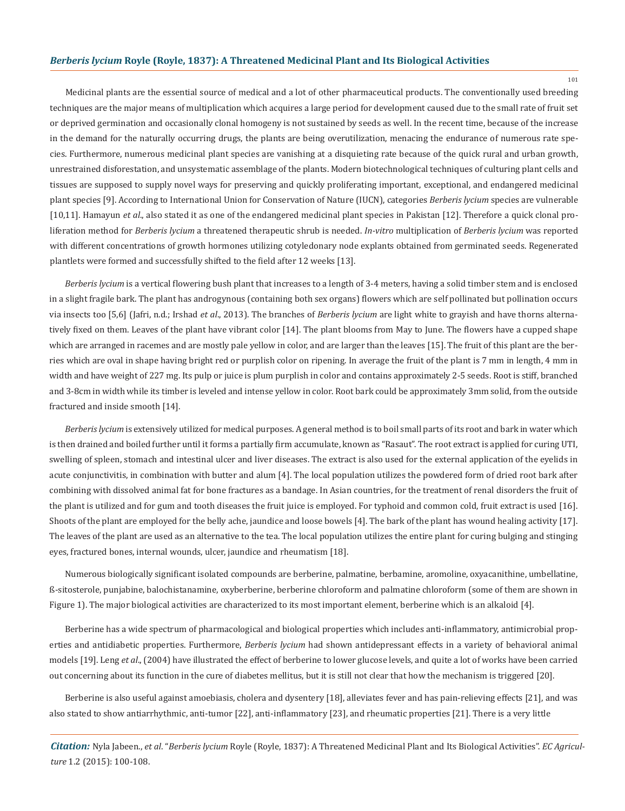Medicinal plants are the essential source of medical and a lot of other pharmaceutical products. The conventionally used breeding techniques are the major means of multiplication which acquires a large period for development caused due to the small rate of fruit set or deprived germination and occasionally clonal homogeny is not sustained by seeds as well. In the recent time, because of the increase in the demand for the naturally occurring drugs, the plants are being overutilization, menacing the endurance of numerous rate species. Furthermore, numerous medicinal plant species are vanishing at a disquieting rate because of the quick rural and urban growth, unrestrained disforestation, and unsystematic assemblage of the plants. Modern biotechnological techniques of culturing plant cells and tissues are supposed to supply novel ways for preserving and quickly proliferating important, exceptional, and endangered medicinal plant species [9]. According to International Union for Conservation of Nature (IUCN), categories *Berberis lycium* species are vulnerable [10,11]. Hamayun *et al*., also stated it as one of the endangered medicinal plant species in Pakistan [12]. Therefore a quick clonal proliferation method for *Berberis lycium* a threatened therapeutic shrub is needed. *In-vitro* multiplication of *Berberis lycium* was reported with different concentrations of growth hormones utilizing cotyledonary node explants obtained from germinated seeds. Regenerated plantlets were formed and successfully shifted to the field after 12 weeks [13].

*Berberis lycium* is a vertical flowering bush plant that increases to a length of 3-4 meters, having a solid timber stem and is enclosed in a slight fragile bark. The plant has androgynous (containing both sex organs) flowers which are self pollinated but pollination occurs via insects too [5,6] (Jafri, n.d.; Irshad *et al*., 2013). The branches of *Berberis lycium* are light white to grayish and have thorns alternatively fixed on them. Leaves of the plant have vibrant color [14]. The plant blooms from May to June. The flowers have a cupped shape which are arranged in racemes and are mostly pale yellow in color, and are larger than the leaves [15]. The fruit of this plant are the berries which are oval in shape having bright red or purplish color on ripening. In average the fruit of the plant is 7 mm in length, 4 mm in width and have weight of 227 mg. Its pulp or juice is plum purplish in color and contains approximately 2-5 seeds. Root is stiff, branched and 3-8cm in width while its timber is leveled and intense yellow in color. Root bark could be approximately 3mm solid, from the outside fractured and inside smooth [14].

*Berberis lycium* is extensively utilized for medical purposes. A general method is to boil small parts of its root and bark in water which is then drained and boiled further until it forms a partially firm accumulate, known as "Rasaut". The root extract is applied for curing UTI, swelling of spleen, stomach and intestinal ulcer and liver diseases. The extract is also used for the external application of the eyelids in acute conjunctivitis, in combination with butter and alum [4]. The local population utilizes the powdered form of dried root bark after combining with dissolved animal fat for bone fractures as a bandage. In Asian countries, for the treatment of renal disorders the fruit of the plant is utilized and for gum and tooth diseases the fruit juice is employed. For typhoid and common cold, fruit extract is used [16]. Shoots of the plant are employed for the belly ache, jaundice and loose bowels [4]. The bark of the plant has wound healing activity [17]. The leaves of the plant are used as an alternative to the tea. The local population utilizes the entire plant for curing bulging and stinging eyes, fractured bones, internal wounds, ulcer, jaundice and rheumatism [18].

Numerous biologically significant isolated compounds are berberine, palmatine, berbamine, aromoline, oxyacanithine, umbellatine, ß-sitosterole, punjabine, balochistanamine, oxyberberine, berberine chloroform and palmatine chloroform (some of them are shown in Figure 1). The major biological activities are characterized to its most important element, berberine which is an alkaloid [4].

Berberine has a wide spectrum of pharmacological and biological properties which includes anti-inflammatory, antimicrobial properties and antidiabetic properties. Furthermore, *Berberis lycium* had shown antidepressant effects in a variety of behavioral animal models [19]. Leng *et al*., (2004) have illustrated the effect of berberine to lower glucose levels, and quite a lot of works have been carried out concerning about its function in the cure of diabetes mellitus, but it is still not clear that how the mechanism is triggered [20].

Berberine is also useful against amoebiasis, cholera and dysentery [18], alleviates fever and has pain-relieving effects [21], and was also stated to show antiarrhythmic, anti-tumor [22], anti-inflammatory [23], and rheumatic properties [21]. There is a very little

*Citation:* Nyla Jabeen., *et al*. "*Berberis lycium* Royle (Royle, 1837): A Threatened Medicinal Plant and Its Biological Activities". *EC Agriculture* 1.2 (2015): 100-108.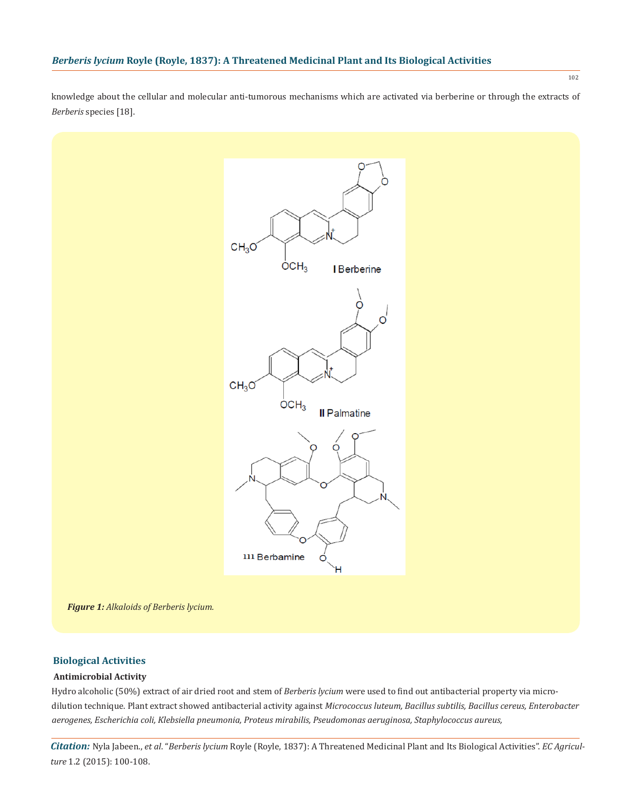knowledge about the cellular and molecular anti-tumorous mechanisms which are activated via berberine or through the extracts of *Berberis* species [18].



*Figure 1: Alkaloids of Berberis lycium.*

## **Biological Activities**

## **Antimicrobial Activity**

Hydro alcoholic (50%) extract of air dried root and stem of *Berberis lycium* were used to find out antibacterial property via microdilution technique. Plant extract showed antibacterial activity against *Micrococcus luteum, Bacillus subtilis, Bacillus cereus, Enterobacter aerogenes, Escherichia coli, Klebsiella pneumonia, Proteus mirabilis, Pseudomonas aeruginosa, Staphylococcus aureus,* 

*Citation:* Nyla Jabeen., *et al*. "*Berberis lycium* Royle (Royle, 1837): A Threatened Medicinal Plant and Its Biological Activities". *EC Agriculture* 1.2 (2015): 100-108.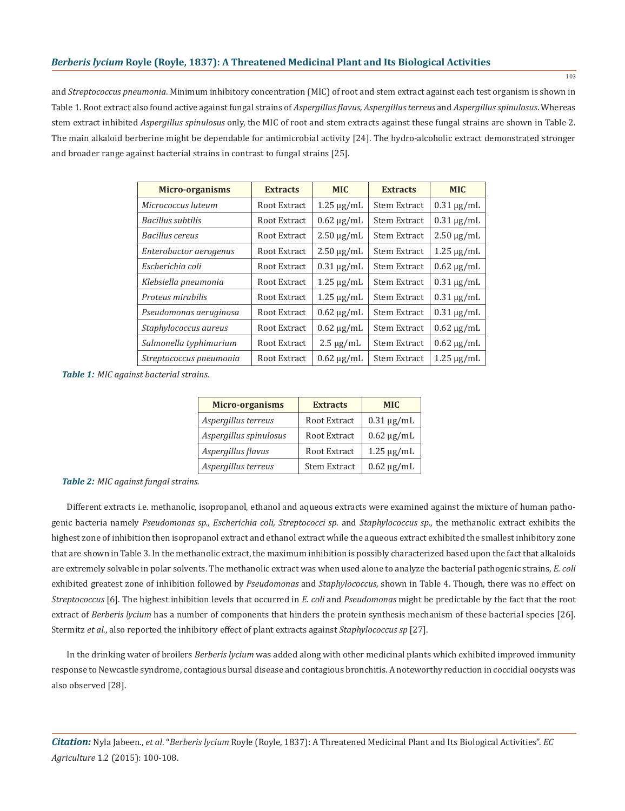and *Streptococcus pneumonia*. Minimum inhibitory concentration (MIC) of root and stem extract against each test organism is shown in Table 1. Root extract also found active against fungal strains of *Aspergillus flavus, Aspergillus terreus* and *Aspergillus spinulosus*. Whereas stem extract inhibited *Aspergillus spinulosus* only, the MIC of root and stem extracts against these fungal strains are shown in Table 2. The main alkaloid berberine might be dependable for antimicrobial activity [24]. The hydro-alcoholic extract demonstrated stronger and broader range against bacterial strains in contrast to fungal strains [25].

| Micro-organisms          | <b>Extracts</b> | <b>MIC</b>      | <b>Extracts</b>     | <b>MIC</b>      |
|--------------------------|-----------------|-----------------|---------------------|-----------------|
| Micrococcus luteum       | Root Extract    | $1.25 \mu g/mL$ | <b>Stem Extract</b> | $0.31 \mu g/mL$ |
| <b>Bacillus</b> subtilis | Root Extract    | $0.62 \mu g/mL$ | <b>Stem Extract</b> | $0.31 \mu g/mL$ |
| Bacillus cereus          | Root Extract    | $2.50 \mu g/mL$ | <b>Stem Extract</b> | $2.50 \mu g/mL$ |
| Enterobactor aerogenus   | Root Extract    | $2.50 \mu g/mL$ | <b>Stem Extract</b> | $1.25 \mu g/mL$ |
| Escherichia coli         | Root Extract    | $0.31 \mu g/mL$ | <b>Stem Extract</b> | $0.62 \mu g/mL$ |
| Klebsiella pneumonia     | Root Extract    | $1.25 \mu g/mL$ | <b>Stem Extract</b> | $0.31 \mu g/mL$ |
| Proteus mirabilis        | Root Extract    | $1.25 \mu g/mL$ | <b>Stem Extract</b> | $0.31 \mu g/mL$ |
| Pseudomonas aeruginosa   | Root Extract    | $0.62 \mu g/mL$ | <b>Stem Extract</b> | $0.31 \mu g/mL$ |
| Staphylococcus aureus    | Root Extract    | $0.62 \mu g/mL$ | <b>Stem Extract</b> | $0.62 \mu g/mL$ |
| Salmonella typhimurium   | Root Extract    | $2.5 \mu g/mL$  | <b>Stem Extract</b> | $0.62 \mu g/mL$ |
| Streptococcus pneumonia  | Root Extract    | $0.62 \mu g/mL$ | <b>Stem Extract</b> | $1.25 \mu g/mL$ |

*Table 1: MIC against bacterial strains.*

| <b>Micro-organisms</b> | <b>Extracts</b>     | <b>MIC</b>      |
|------------------------|---------------------|-----------------|
| Aspergillus terreus    | Root Extract        | $0.31 \mu g/mL$ |
| Aspergillus spinulosus | Root Extract        | $0.62 \mu g/mL$ |
| Aspergillus flavus     | Root Extract        | $1.25 \mu g/mL$ |
| Aspergillus terreus    | <b>Stem Extract</b> | $0.62 \mu g/mL$ |

*Table 2: MIC against fungal strains.*

Different extracts i.e. methanolic, isopropanol, ethanol and aqueous extracts were examined against the mixture of human pathogenic bacteria namely *Pseudomonas sp., Escherichia coli, Streptococci sp*. and *Staphylococcus sp*., the methanolic extract exhibits the highest zone of inhibition then isopropanol extract and ethanol extract while the aqueous extract exhibited the smallest inhibitory zone that are shown in Table 3. In the methanolic extract, the maximum inhibition is possibly characterized based upon the fact that alkaloids are extremely solvable in polar solvents. The methanolic extract was when used alone to analyze the bacterial pathogenic strains, *E. coli*  exhibited greatest zone of inhibition followed by *Pseudomonas* and *Staphylococcus*, shown in Table 4. Though, there was no effect on *Streptococcus* [6]. The highest inhibition levels that occurred in *E. coli* and *Pseudomonas* might be predictable by the fact that the root extract of *Berberis lycium* has a number of components that hinders the protein synthesis mechanism of these bacterial species [26]. Stermitz *et al.*, also reported the inhibitory effect of plant extracts against *Staphylococcus sp* [27].

In the drinking water of broilers *Berberis lycium* was added along with other medicinal plants which exhibited improved immunity response to Newcastle syndrome, contagious bursal disease and contagious bronchitis. A noteworthy reduction in coccidial oocysts was also observed [28].

*Citation:* Nyla Jabeen., *et al*. "*Berberis lycium* Royle (Royle, 1837): A Threatened Medicinal Plant and Its Biological Activities". *EC Agriculture* 1.2 (2015): 100-108.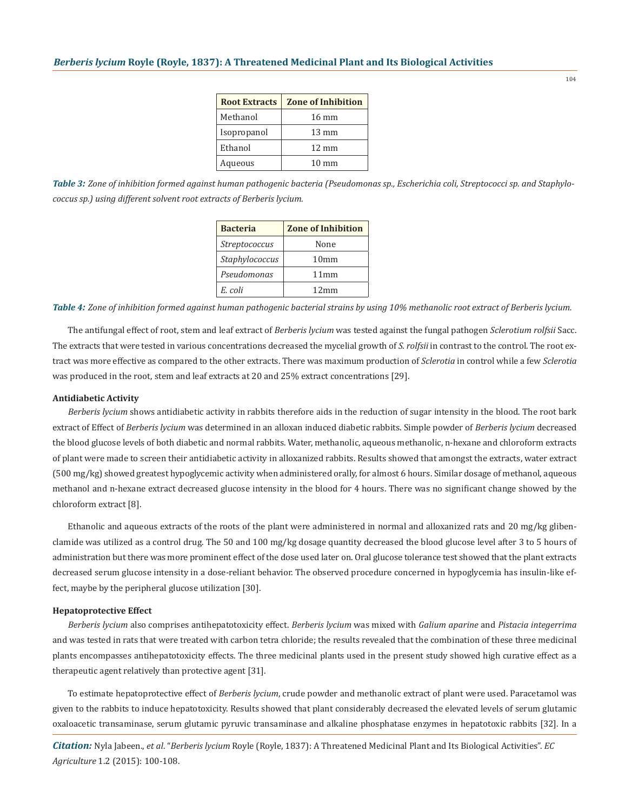| <b>Root Extracts</b> | <b>Zone of Inhibition</b> |
|----------------------|---------------------------|
| Methanol             | $16 \text{ mm}$           |
| Isopropanol          | $13 \text{ mm}$           |
| Ethanol              | $12 \text{ mm}$           |
| Aqueous              | $10 \text{ mm}$           |

*Table 3: Zone of inhibition formed against human pathogenic bacteria (Pseudomonas sp., Escherichia coli, Streptococci sp. and Staphylococcus sp.) using different solvent root extracts of Berberis lycium.*

| <b>Bacteria</b>      | <b>Zone of Inhibition</b> |
|----------------------|---------------------------|
| <i>Streptococcus</i> | None                      |
| Staphylococcus       | 10mm                      |
| Pseudomonas          | 11mm                      |
| E. coli              | 12mm                      |

*Table 4: Zone of inhibition formed against human pathogenic bacterial strains by using 10% methanolic root extract of Berberis lycium.*

The antifungal effect of root, stem and leaf extract of *Berberis lycium* was tested against the fungal pathogen *Sclerotium rolfsii* Sacc. The extracts that were tested in various concentrations decreased the mycelial growth of *S. rolfsii* in contrast to the control. The root extract was more effective as compared to the other extracts. There was maximum production of *Sclerotia* in control while a few *Sclerotia*  was produced in the root, stem and leaf extracts at 20 and 25% extract concentrations [29].

### **Antidiabetic Activity**

*Berberis lycium* shows antidiabetic activity in rabbits therefore aids in the reduction of sugar intensity in the blood. The root bark extract of Effect of *Berberis lycium* was determined in an alloxan induced diabetic rabbits. Simple powder of *Berberis lycium* decreased the blood glucose levels of both diabetic and normal rabbits. Water, methanolic, aqueous methanolic, n-hexane and chloroform extracts of plant were made to screen their antidiabetic activity in alloxanized rabbits. Results showed that amongst the extracts, water extract (500 mg/kg) showed greatest hypoglycemic activity when administered orally, for almost 6 hours. Similar dosage of methanol, aqueous methanol and n-hexane extract decreased glucose intensity in the blood for 4 hours. There was no significant change showed by the chloroform extract [8].

Ethanolic and aqueous extracts of the roots of the plant were administered in normal and alloxanized rats and 20 mg/kg glibenclamide was utilized as a control drug. The 50 and 100 mg/kg dosage quantity decreased the blood glucose level after 3 to 5 hours of administration but there was more prominent effect of the dose used later on. Oral glucose tolerance test showed that the plant extracts decreased serum glucose intensity in a dose-reliant behavior. The observed procedure concerned in hypoglycemia has insulin-like effect, maybe by the peripheral glucose utilization [30].

## **Hepatoprotective Effect**

*Berberis lycium* also comprises antihepatotoxicity effect. *Berberis lycium* was mixed with *Galium aparine* and *Pistacia integerrima*  and was tested in rats that were treated with carbon tetra chloride; the results revealed that the combination of these three medicinal plants encompasses antihepatotoxicity effects. The three medicinal plants used in the present study showed high curative effect as a therapeutic agent relatively than protective agent [31].

To estimate hepatoprotective effect of *Berberis lycium*, crude powder and methanolic extract of plant were used. Paracetamol was given to the rabbits to induce hepatotoxicity. Results showed that plant considerably decreased the elevated levels of serum glutamic oxaloacetic transaminase, serum glutamic pyruvic transaminase and alkaline phosphatase enzymes in hepatotoxic rabbits [32]. In a

*Citation:* Nyla Jabeen., *et al*. "*Berberis lycium* Royle (Royle, 1837): A Threatened Medicinal Plant and Its Biological Activities". *EC Agriculture* 1.2 (2015): 100-108.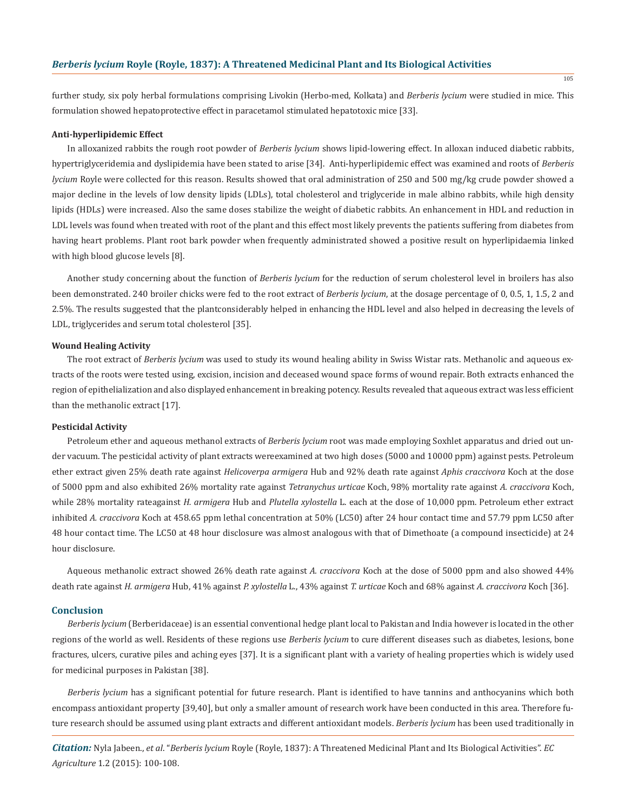further study, six poly herbal formulations comprising Livokin (Herbo-med, Kolkata) and *Berberis lycium* were studied in mice. This formulation showed hepatoprotective effect in paracetamol stimulated hepatotoxic mice [33].

#### **Anti-hyperlipidemic Effect**

In alloxanized rabbits the rough root powder of *Berberis lycium* shows lipid-lowering effect. In alloxan induced diabetic rabbits, hypertriglyceridemia and dyslipidemia have been stated to arise [34]. Anti-hyperlipidemic effect was examined and roots of *Berberis lycium* Royle were collected for this reason. Results showed that oral administration of 250 and 500 mg/kg crude powder showed a major decline in the levels of low density lipids (LDLs), total cholesterol and triglyceride in male albino rabbits, while high density lipids (HDLs) were increased. Also the same doses stabilize the weight of diabetic rabbits. An enhancement in HDL and reduction in LDL levels was found when treated with root of the plant and this effect most likely prevents the patients suffering from diabetes from having heart problems. Plant root bark powder when frequently administrated showed a positive result on hyperlipidaemia linked with high blood glucose levels [8].

Another study concerning about the function of *Berberis lycium* for the reduction of serum cholesterol level in broilers has also been demonstrated. 240 broiler chicks were fed to the root extract of *Berberis lycium*, at the dosage percentage of 0, 0.5, 1, 1.5, 2 and 2.5%. The results suggested that the plantconsiderably helped in enhancing the HDL level and also helped in decreasing the levels of LDL, triglycerides and serum total cholesterol [35].

#### **Wound Healing Activity**

The root extract of *Berberis lycium* was used to study its wound healing ability in Swiss Wistar rats. Methanolic and aqueous extracts of the roots were tested using, excision, incision and deceased wound space forms of wound repair. Both extracts enhanced the region of epithelialization and also displayed enhancement in breaking potency. Results revealed that aqueous extract was less efficient than the methanolic extract [17].

### **Pesticidal Activity**

Petroleum ether and aqueous methanol extracts of *Berberis lycium* root was made employing Soxhlet apparatus and dried out under vacuum. The pesticidal activity of plant extracts wereexamined at two high doses (5000 and 10000 ppm) against pests. Petroleum ether extract given 25% death rate against *Helicoverpa armigera* Hub and 92% death rate against *Aphis craccivora* Koch at the dose of 5000 ppm and also exhibited 26% mortality rate against *Tetranychus urticae* Koch, 98% mortality rate against *A. craccivora* Koch, while 28% mortality rateagainst *H. armigera* Hub and *Plutella xylostella* L. each at the dose of 10,000 ppm. Petroleum ether extract inhibited *A. craccivora* Koch at 458.65 ppm lethal concentration at 50% (LC50) after 24 hour contact time and 57.79 ppm LC50 after 48 hour contact time. The LC50 at 48 hour disclosure was almost analogous with that of Dimethoate (a compound insecticide) at 24 hour disclosure.

Aqueous methanolic extract showed 26% death rate against *A. craccivora* Koch at the dose of 5000 ppm and also showed 44% death rate against *H. armigera* Hub, 41% against *P. xylostella* L., 43% against *T. urticae* Koch and 68% against *A. craccivora* Koch [36].

#### **Conclusion**

*Berberis lycium* (Berberidaceae) is an essential conventional hedge plant local to Pakistan and India however is located in the other regions of the world as well. Residents of these regions use *Berberis lycium* to cure different diseases such as diabetes, lesions, bone fractures, ulcers, curative piles and aching eyes [37]. It is a significant plant with a variety of healing properties which is widely used for medicinal purposes in Pakistan [38].

*Berberis lycium* has a significant potential for future research. Plant is identified to have tannins and anthocyanins which both encompass antioxidant property [39,40], but only a smaller amount of research work have been conducted in this area. Therefore future research should be assumed using plant extracts and different antioxidant models. *Berberis lycium* has been used traditionally in

*Citation:* Nyla Jabeen., *et al*. "*Berberis lycium* Royle (Royle, 1837): A Threatened Medicinal Plant and Its Biological Activities". *EC Agriculture* 1.2 (2015): 100-108.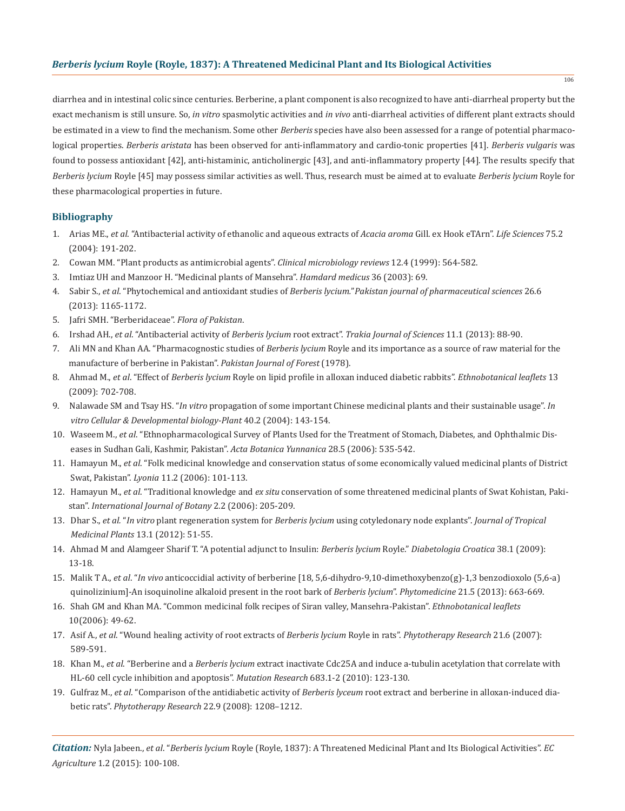diarrhea and in intestinal colic since centuries. Berberine, a plant component is also recognized to have anti-diarrheal property but the exact mechanism is still unsure. So, *in vitro* spasmolytic activities and *in vivo* anti-diarrheal activities of different plant extracts should be estimated in a view to find the mechanism. Some other *Berberis* species have also been assessed for a range of potential pharmacological properties. *Berberis aristata* has been observed for anti-inflammatory and cardio-tonic properties [41]. *Berberis vulgaris* was found to possess antioxidant [42], anti-histaminic, anticholinergic [43], and anti-inflammatory property [44]. The results specify that *Berberis lycium* Royle [45] may possess similar activities as well. Thus, research must be aimed at to evaluate *Berberis lycium* Royle for these pharmacological properties in future.

## **Bibliography**

- 1. Arias ME., *et al*. "Antibacterial activity of ethanolic and aqueous extracts of *Acacia aroma* Gill. ex Hook eTArn". *Life Sciences* 75.2 (2004): 191-202.
- 2. Cowan MM. "Plant products as antimicrobial agents". *Clinical microbiology reviews* 12.4 (1999): 564-582.
- 3. Imtiaz UH and Manzoor H. "Medicinal plants of Mansehra". *Hamdard medicus* 36 (2003): 69.
- 4. Sabir S., *et al*. "Phytochemical and antioxidant studies of *Berberis lycium.*"*Pakistan journal of pharmaceutical sciences* 26.6 (2013): 1165-1172.
- 5. Jafri SMH. "Berberidaceae". *Flora of Pakistan*.
- 6. Irshad AH., *et al*. "Antibacterial activity of *Berberis lycium* root extract". *Trakia Journal of Sciences* 11.1 (2013): 88-90.
- 7. Ali MN and Khan AA. "Pharmacognostic studies of *Berberis lycium* Royle and its importance as a source of raw material for the manufacture of berberine in Pakistan". *Pakistan Journal of Forest* (1978).
- 8. Ahmad M., *et al*. "Effect of *Berberis lycium* Royle on lipid profile in alloxan induced diabetic rabbits". *Ethnobotanical leaflets* 13 (2009): 702-708.
- 9. Nalawade SM and Tsay HS. "*In vitro* propagation of some important Chinese medicinal plants and their sustainable usage". *In vitro Cellular & Developmental biology-Plant* 40.2 (2004): 143-154.
- 10. Waseem M., *et al*. "Ethnopharmacological Survey of Plants Used for the Treatment of Stomach, Diabetes, and Ophthalmic Dis eases in Sudhan Gali, Kashmir, Pakistan". *Acta Botanica Yunnanica* 28.5 (2006): 535-542.
- 11. Hamayun M., *et al*. "Folk medicinal knowledge and conservation status of some economically valued medicinal plants of District Swat, Pakistan". *Lyonia* 11.2 (2006): 101-113.
- 12. Hamayun M., *et al*. "Traditional knowledge and *ex situ* conservation of some threatened medicinal plants of Swat Kohistan, Paki stan". *International Journal of Botany* 2.2 (2006): 205-209.
- 13. Dhar S., *et al.* "*In vitro* plant regeneration system for *Berberis lycium* using cotyledonary node explants". *Journal of Tropical Medicinal Plants* 13.1 (2012): 51-55.
- 14. Ahmad M and Alamgeer Sharif T. "A potential adjunct to Insulin: *Berberis lycium* Royle." *Diabetologia Croatica* 38.1 (2009): 13-18.
- 15. Malik T A., *et al*. "*In vivo* anticoccidial activity of berberine [18, 5,6-dihydro-9,10-dimethoxybenzo(g)-1,3 benzodioxolo (5,6-a) quinolizinium]-An isoquinoline alkaloid present in the root bark of *Berberis lycium*". *Phytomedicine* 21.5 (2013): 663-669.
- 16. Shah GM and Khan MA. "Common medicinal folk recipes of Siran valley, Mansehra-Pakistan". *Ethnobotanical leaflets*  10(2006): 49-62.
- 17. Asif A., *et al*. "Wound healing activity of root extracts of *Berberis lycium* Royle in rats". *Phytotherapy Research* 21.6 (2007): 589-591.
- 18. Khan M., *et al*. "Berberine and a *Berberis lycium* extract inactivate Cdc25A and induce a-tubulin acetylation that correlate with HL-60 cell cycle inhibition and apoptosis". *Mutation Research* 683.1-2 (2010): 123-130.
- 19. Gulfraz M., *et al*. "Comparison of the antidiabetic activity of *Berberis lyceum* root extract and berberine in alloxan-induced dia betic rats". *Phytotherapy Research* 22.9 (2008): 1208–1212.

*Citation:* Nyla Jabeen., *et al*. "*Berberis lycium* Royle (Royle, 1837): A Threatened Medicinal Plant and Its Biological Activities". *EC Agriculture* 1.2 (2015): 100-108.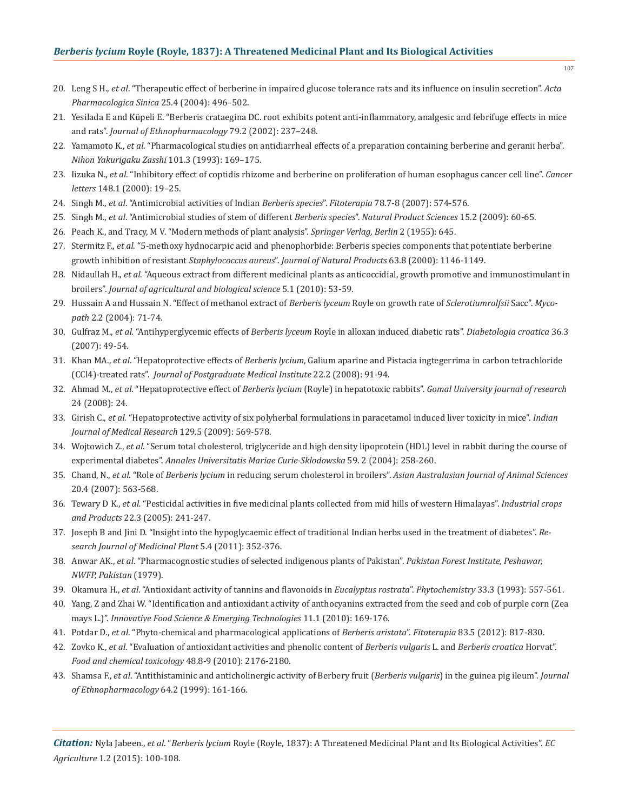- 20. Leng S H., *et al*. "Therapeutic effect of berberine in impaired glucose tolerance rats and its influence on insulin secretion". *Acta Pharmacologica Sinica* 25.4 (2004): 496–502.
- 21. Yesilada E and Küpeli E. "Berberis crataegina DC. root exhibits potent anti-inflammatory, analgesic and febrifuge effects in mice and rats". *Journal of Ethnopharmacology* 79.2 (2002): 237–248.
- 22. Yamamoto K., *et al*. "Pharmacological studies on antidiarrheal effects of a preparation containing berberine and geranii herba". *Nihon Yakurigaku Zasshi* 101.3 (1993): 169–175.
- 23. Iizuka N., *et al*. "Inhibitory effect of coptidis rhizome and berberine on proliferation of human esophagus cancer cell line". *Cancer letters* 148.1 (2000): 19–25.
- 24. Singh M., *et al*. "Antimicrobial activities of Indian *Berberis species*". *Fitoterapia* 78.7-8 (2007): 574-576.
- 25. Singh M., *et al*. "Antimicrobial studies of stem of different *Berberis species*". *Natural Product Sciences* 15.2 (2009): 60-65.
- 26. Peach K., and Tracy, M V. "Modern methods of plant analysis". *Springer Verlag, Berlin* 2 (1955): 645.
- 27. Stermitz F., *et al*. "5-methoxy hydnocarpic acid and phenophorbide: Berberis species components that potentiate berberine growth inhibition of resistant *Staphylococcus aureus*". *Journal of Natural Products* 63.8 (2000): 1146-1149.
- 28. Nidaullah H., *et al*. "Aqueous extract from different medicinal plants as anticoccidial, growth promotive and immunostimulant in broilers". *Journal of agricultural and biological science* 5.1 (2010): 53-59.
- 29. Hussain A and Hussain N. "Effect of methanol extract of *Berberis lyceum* Royle on growth rate of *Sclerotiumrolfsii* Sacc". *Myco path* 2.2 (2004): 71-74.
- 30. Gulfraz M., *et al.* "Antihyperglycemic effects of *Berberis lyceum* Royle in alloxan induced diabetic rats". *Diabetologia croatica* 36.3 (2007): 49-54.
- 31. Khan MA., *et al*. "Hepatoprotective effects of *Berberis lycium*, Galium aparine and Pistacia ingtegerrima in carbon tetrachloride (CCl4)-treated rats". *Journal of Postgraduate Medical Institute* 22.2 (2008): 91-94.
- 32. Ahmad M., *et al*. "Hepatoprotective effect of *Berberis lycium* (Royle) in hepatotoxic rabbits". *Gomal University journal of research* 24 (2008): 24.
- 33. Girish C., *et al*. "Hepatoprotective activity of six polyherbal formulations in paracetamol induced liver toxicity in mice". *Indian Journal of Medical Research* 129.5 (2009): 569-578.
- 34. Wojtowich Z., *et al*. "Serum total cholesterol, triglyceride and high density lipoprotein (HDL) level in rabbit during the course of experimental diabetes". *Annales Universitatis Mariae Curie-Sklodowska* 59. 2 (2004): 258-260.
- 35. Chand, N., *et al*. "Role of *Berberis lycium* in reducing serum cholesterol in broilers". *Asian Australasian Journal of Animal Sciences* 20.4 (2007): 563-568.
- 36. Tewary D K., *et al.* "Pesticidal activities in five medicinal plants collected from mid hills of western Himalayas". *Industrial crops and Products* 22.3 (2005): 241-247.
- 37. Joseph B and Jini D. "Insight into the hypoglycaemic effect of traditional Indian herbs used in the treatment of diabetes". *Re search Journal of Medicinal Plant* 5.4 (2011): 352-376.
- 38. Anwar AK., *et al*. "Pharmacognostic studies of selected indigenous plants of Pakistan". *Pakistan Forest Institute, Peshawar, NWFP, Pakistan* (1979).
- 39. Okamura H., *et al*. "Antioxidant activity of tannins and flavonoids in *Eucalyptus rostrata*". *Phytochemistry* 33.3 (1993): 557-561.
- 40. Yang, Z and Zhai W. "Identification and antioxidant activity of anthocyanins extracted from the seed and cob of purple corn (Zea mays L.)". *Innovative Food Science & Emerging Technologies* 11.1 (2010): 169-176.
- 41. Potdar D., *et al*. "Phyto-chemical and pharmacological applications of *Berberis aristata*". *Fitoterapia* 83.5 (2012): 817-830.
- 42. Zovko K., *et al*. "Evaluation of antioxidant activities and phenolic content of *Berberis vulgaris* L. and *Berberis croatica* Horvat". *Food and chemical toxicology* 48.8-9 (2010): 2176-2180.
- 43. Shamsa F., *et al*. "Antithistaminic and anticholinergic activity of Berbery fruit (*Berberis vulgaris*) in the guinea pig ileum". *Journal of Ethnopharmacology* 64.2 (1999): 161-166.

*Citation:* Nyla Jabeen., *et al*. "*Berberis lycium* Royle (Royle, 1837): A Threatened Medicinal Plant and Its Biological Activities". *EC Agriculture* 1.2 (2015): 100-108.